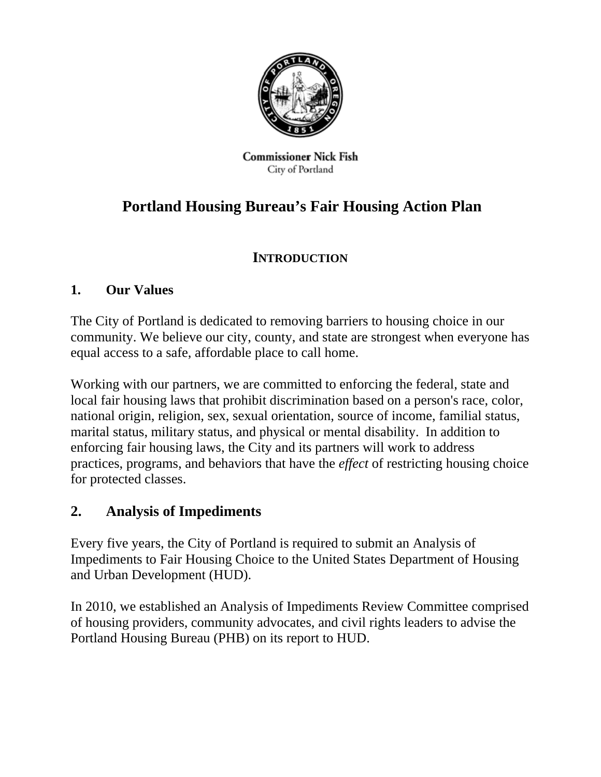

**Commissioner Nick Fish** City of Portland

# **Portland Housing Bureau's Fair Housing Action Plan**

## **INTRODUCTION**

## **1. Our Values**

The City of Portland is dedicated to removing barriers to housing choice in our community. We believe our city, county, and state are strongest when everyone has equal access to a safe, affordable place to call home.

Working with our partners, we are committed to enforcing the federal, state and local fair housing laws that prohibit discrimination based on a person's race, color, national origin, religion, sex, sexual orientation, source of income, familial status, marital status, military status, and physical or mental disability. In addition to enforcing fair housing laws, the City and its partners will work to address practices, programs, and behaviors that have the *effect* of restricting housing choice for protected classes.

## **2. Analysis of Impediments**

Every five years, the City of Portland is required to submit an Analysis of Impediments to Fair Housing Choice to the United States Department of Housing and Urban Development (HUD).

In 2010, we established an Analysis of Impediments Review Committee comprised of housing providers, community advocates, and civil rights leaders to advise the Portland Housing Bureau (PHB) on its report to HUD.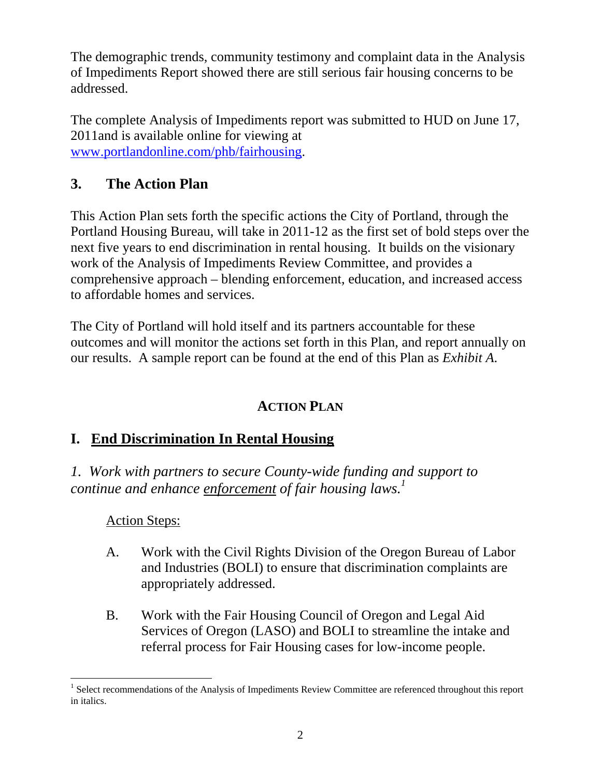The demographic trends, community testimony and complaint data in the Analysis of Impediments Report showed there are still serious fair housing concerns to be addressed.

The complete Analysis of Impediments report was submitted to HUD on June 17, 2011and is available online for viewing at www.portlandonline.com/phb/fairhousing.

## **3. The Action Plan**

This Action Plan sets forth the specific actions the City of Portland, through the Portland Housing Bureau, will take in 2011-12 as the first set of bold steps over the next five years to end discrimination in rental housing. It builds on the visionary work of the Analysis of Impediments Review Committee, and provides a comprehensive approach – blending enforcement, education, and increased access to affordable homes and services.

The City of Portland will hold itself and its partners accountable for these outcomes and will monitor the actions set forth in this Plan, and report annually on our results. A sample report can be found at the end of this Plan as *Exhibit A*.

## **ACTION PLAN**

## **I. End Discrimination In Rental Housing**

*1. Work with partners to secure County-wide funding and support to continue and enhance enforcement of fair housing laws.1*

### Action Steps:

- A. Work with the Civil Rights Division of the Oregon Bureau of Labor and Industries (BOLI) to ensure that discrimination complaints are appropriately addressed.
- B. Work with the Fair Housing Council of Oregon and Legal Aid Services of Oregon (LASO) and BOLI to streamline the intake and referral process for Fair Housing cases for low-income people.

 $\overline{a}$ <sup>1</sup> Select recommendations of the Analysis of Impediments Review Committee are referenced throughout this report in italics.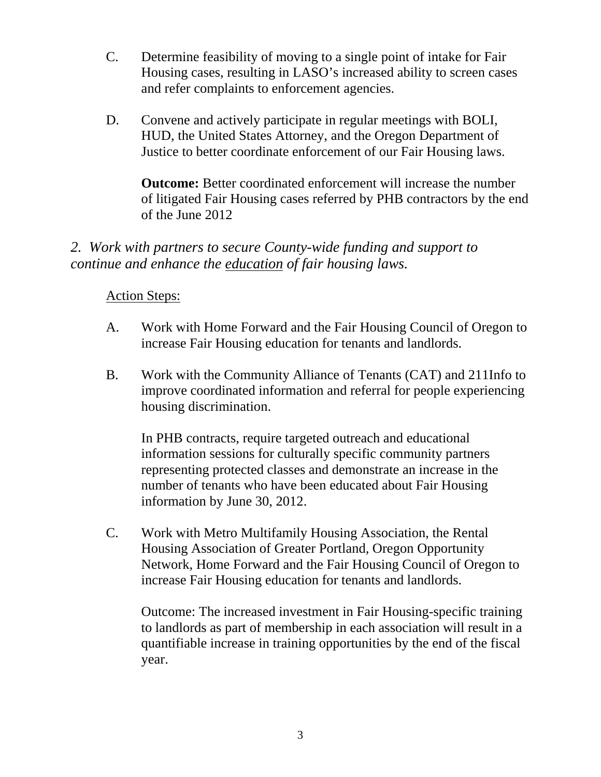- C. Determine feasibility of moving to a single point of intake for Fair Housing cases, resulting in LASO's increased ability to screen cases and refer complaints to enforcement agencies.
- D. Convene and actively participate in regular meetings with BOLI, HUD, the United States Attorney, and the Oregon Department of Justice to better coordinate enforcement of our Fair Housing laws.

**Outcome:** Better coordinated enforcement will increase the number of litigated Fair Housing cases referred by PHB contractors by the end of the June 2012

*2. Work with partners to secure County-wide funding and support to continue and enhance the education of fair housing laws.* 

### Action Steps:

- A. Work with Home Forward and the Fair Housing Council of Oregon to increase Fair Housing education for tenants and landlords.
- B. Work with the Community Alliance of Tenants (CAT) and 211Info to improve coordinated information and referral for people experiencing housing discrimination.

In PHB contracts, require targeted outreach and educational information sessions for culturally specific community partners representing protected classes and demonstrate an increase in the number of tenants who have been educated about Fair Housing information by June 30, 2012.

C. Work with Metro Multifamily Housing Association, the Rental Housing Association of Greater Portland, Oregon Opportunity Network, Home Forward and the Fair Housing Council of Oregon to increase Fair Housing education for tenants and landlords.

Outcome: The increased investment in Fair Housing-specific training to landlords as part of membership in each association will result in a quantifiable increase in training opportunities by the end of the fiscal year.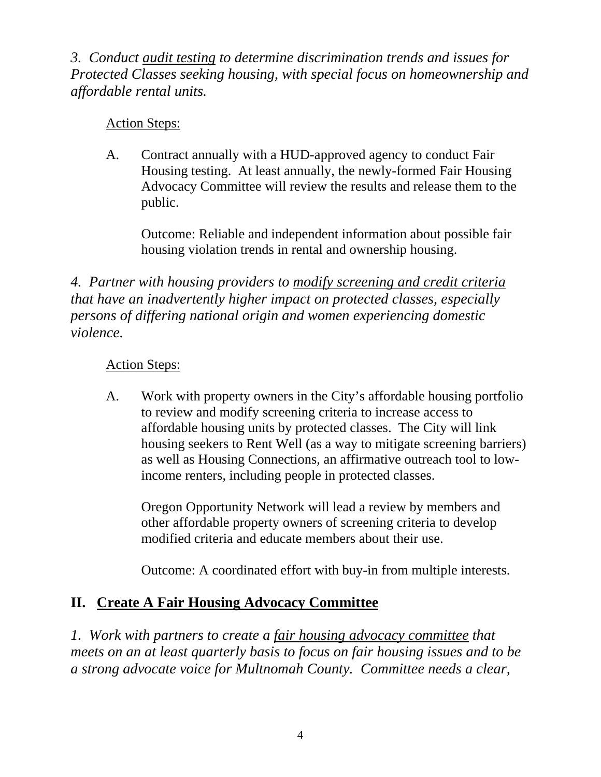*3. Conduct audit testing to determine discrimination trends and issues for Protected Classes seeking housing, with special focus on homeownership and affordable rental units.* 

## Action Steps:

A. Contract annually with a HUD-approved agency to conduct Fair Housing testing. At least annually, the newly-formed Fair Housing Advocacy Committee will review the results and release them to the public.

Outcome: Reliable and independent information about possible fair housing violation trends in rental and ownership housing.

*4. Partner with housing providers to modify screening and credit criteria that have an inadvertently higher impact on protected classes, especially persons of differing national origin and women experiencing domestic violence.* 

## Action Steps:

A. Work with property owners in the City's affordable housing portfolio to review and modify screening criteria to increase access to affordable housing units by protected classes. The City will link housing seekers to Rent Well (as a way to mitigate screening barriers) as well as Housing Connections, an affirmative outreach tool to lowincome renters, including people in protected classes.

Oregon Opportunity Network will lead a review by members and other affordable property owners of screening criteria to develop modified criteria and educate members about their use.

Outcome: A coordinated effort with buy-in from multiple interests.

## **II. Create A Fair Housing Advocacy Committee**

*1. Work with partners to create a fair housing advocacy committee that meets on an at least quarterly basis to focus on fair housing issues and to be a strong advocate voice for Multnomah County. Committee needs a clear,*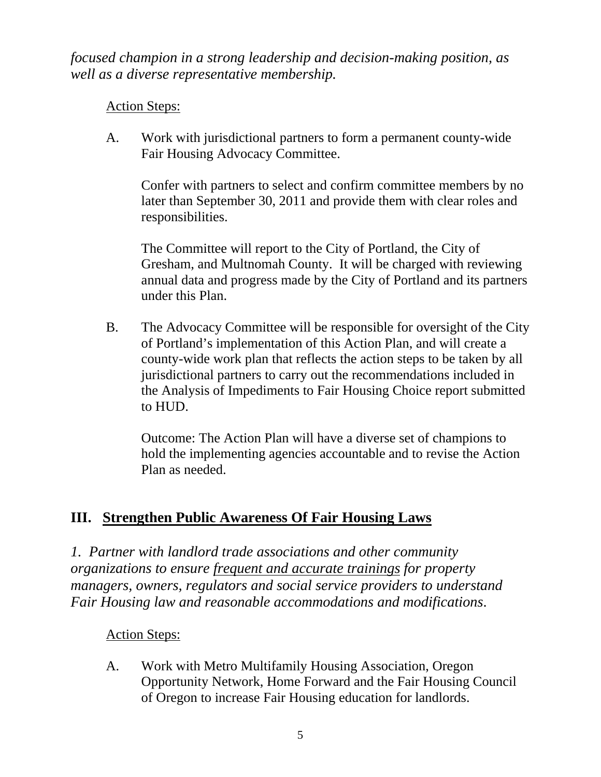*focused champion in a strong leadership and decision-making position, as well as a diverse representative membership.* 

## Action Steps:

A. Work with jurisdictional partners to form a permanent county-wide Fair Housing Advocacy Committee.

Confer with partners to select and confirm committee members by no later than September 30, 2011 and provide them with clear roles and responsibilities.

The Committee will report to the City of Portland, the City of Gresham, and Multnomah County. It will be charged with reviewing annual data and progress made by the City of Portland and its partners under this Plan.

B. The Advocacy Committee will be responsible for oversight of the City of Portland's implementation of this Action Plan, and will create a county-wide work plan that reflects the action steps to be taken by all jurisdictional partners to carry out the recommendations included in the Analysis of Impediments to Fair Housing Choice report submitted to HUD.

Outcome: The Action Plan will have a diverse set of champions to hold the implementing agencies accountable and to revise the Action Plan as needed.

## **III. Strengthen Public Awareness Of Fair Housing Laws**

*1. Partner with landlord trade associations and other community organizations to ensure frequent and accurate trainings for property managers, owners, regulators and social service providers to understand Fair Housing law and reasonable accommodations and modifications*.

### Action Steps:

A. Work with Metro Multifamily Housing Association, Oregon Opportunity Network, Home Forward and the Fair Housing Council of Oregon to increase Fair Housing education for landlords.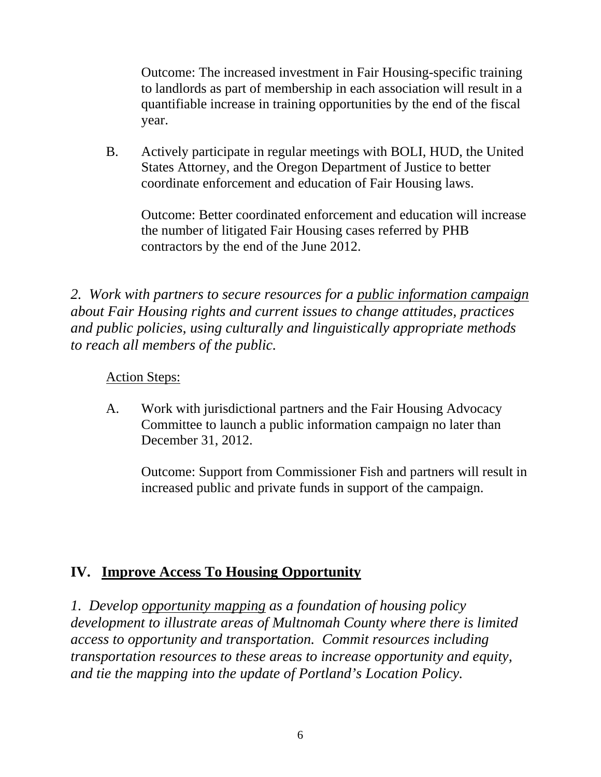Outcome: The increased investment in Fair Housing-specific training to landlords as part of membership in each association will result in a quantifiable increase in training opportunities by the end of the fiscal year.

B. Actively participate in regular meetings with BOLI, HUD, the United States Attorney, and the Oregon Department of Justice to better coordinate enforcement and education of Fair Housing laws.

Outcome: Better coordinated enforcement and education will increase the number of litigated Fair Housing cases referred by PHB contractors by the end of the June 2012.

*2. Work with partners to secure resources for a public information campaign about Fair Housing rights and current issues to change attitudes, practices and public policies, using culturally and linguistically appropriate methods to reach all members of the public.* 

### Action Steps:

A. Work with jurisdictional partners and the Fair Housing Advocacy Committee to launch a public information campaign no later than December 31, 2012.

Outcome: Support from Commissioner Fish and partners will result in increased public and private funds in support of the campaign.

## **IV. Improve Access To Housing Opportunity**

*1. Develop opportunity mapping as a foundation of housing policy development to illustrate areas of Multnomah County where there is limited access to opportunity and transportation. Commit resources including transportation resources to these areas to increase opportunity and equity, and tie the mapping into the update of Portland's Location Policy.*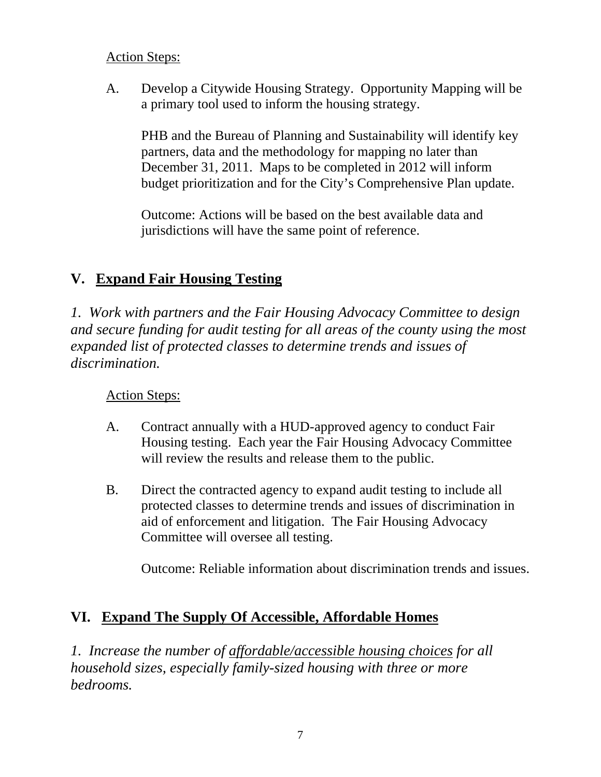### Action Steps:

A. Develop a Citywide Housing Strategy. Opportunity Mapping will be a primary tool used to inform the housing strategy.

PHB and the Bureau of Planning and Sustainability will identify key partners, data and the methodology for mapping no later than December 31, 2011. Maps to be completed in 2012 will inform budget prioritization and for the City's Comprehensive Plan update.

Outcome: Actions will be based on the best available data and jurisdictions will have the same point of reference.

## **V. Expand Fair Housing Testing**

*1. Work with partners and the Fair Housing Advocacy Committee to design and secure funding for audit testing for all areas of the county using the most expanded list of protected classes to determine trends and issues of discrimination.* 

Action Steps:

- A. Contract annually with a HUD-approved agency to conduct Fair Housing testing. Each year the Fair Housing Advocacy Committee will review the results and release them to the public.
- B. Direct the contracted agency to expand audit testing to include all protected classes to determine trends and issues of discrimination in aid of enforcement and litigation. The Fair Housing Advocacy Committee will oversee all testing.

Outcome: Reliable information about discrimination trends and issues.

## **VI. Expand The Supply Of Accessible, Affordable Homes**

*1. Increase the number of affordable/accessible housing choices for all household sizes, especially family-sized housing with three or more bedrooms.*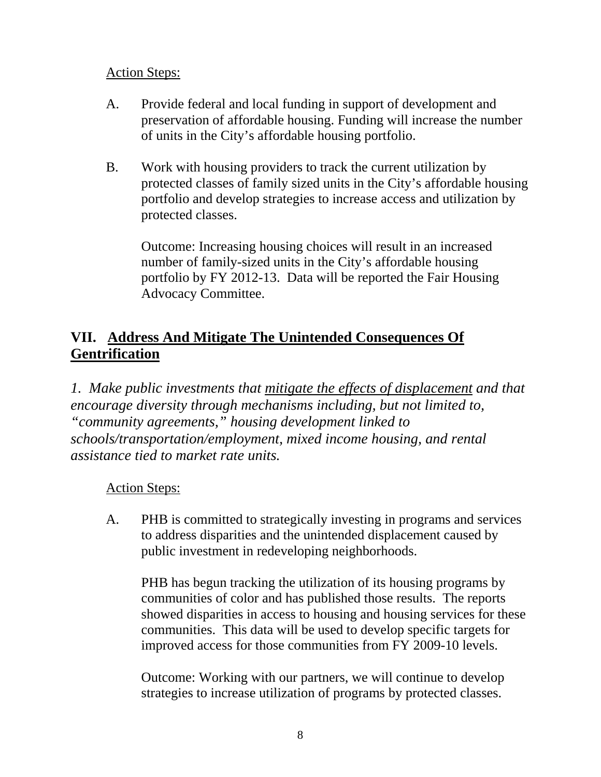### Action Steps:

- A. Provide federal and local funding in support of development and preservation of affordable housing. Funding will increase the number of units in the City's affordable housing portfolio.
- B. Work with housing providers to track the current utilization by protected classes of family sized units in the City's affordable housing portfolio and develop strategies to increase access and utilization by protected classes.

Outcome: Increasing housing choices will result in an increased number of family-sized units in the City's affordable housing portfolio by FY 2012-13. Data will be reported the Fair Housing Advocacy Committee.

## **VII. Address And Mitigate The Unintended Consequences Of Gentrification**

*1. Make public investments that mitigate the effects of displacement and that encourage diversity through mechanisms including, but not limited to, "community agreements," housing development linked to schools/transportation/employment, mixed income housing, and rental assistance tied to market rate units.* 

### Action Steps:

A. PHB is committed to strategically investing in programs and services to address disparities and the unintended displacement caused by public investment in redeveloping neighborhoods.

PHB has begun tracking the utilization of its housing programs by communities of color and has published those results. The reports showed disparities in access to housing and housing services for these communities. This data will be used to develop specific targets for improved access for those communities from FY 2009-10 levels.

Outcome: Working with our partners, we will continue to develop strategies to increase utilization of programs by protected classes.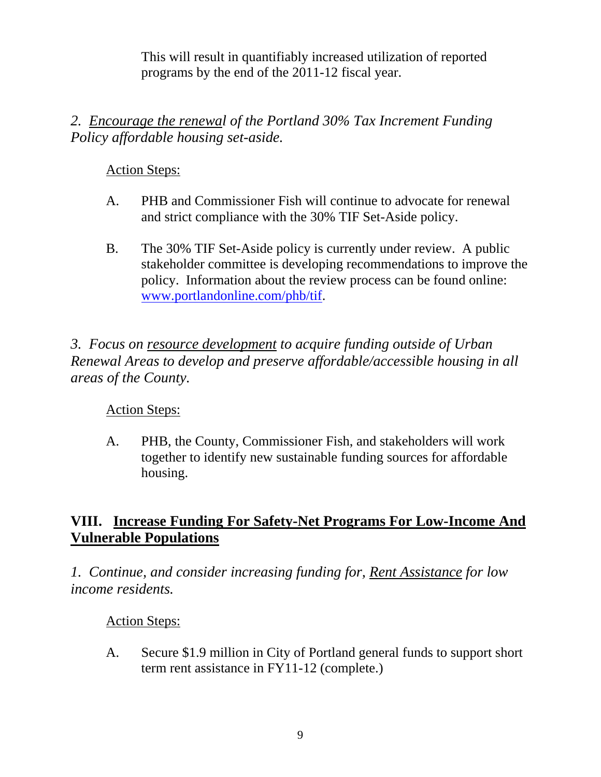This will result in quantifiably increased utilization of reported programs by the end of the 2011-12 fiscal year.

## *2. Encourage the renewal of the Portland 30% Tax Increment Funding Policy affordable housing set-aside.*

## Action Steps:

- A. PHB and Commissioner Fish will continue to advocate for renewal and strict compliance with the 30% TIF Set-Aside policy.
- B. The 30% TIF Set-Aside policy is currently under review. A public stakeholder committee is developing recommendations to improve the policy. Information about the review process can be found online: www.portlandonline.com/phb/tif.

*3. Focus on resource development to acquire funding outside of Urban Renewal Areas to develop and preserve affordable/accessible housing in all areas of the County.* 

### Action Steps:

A. PHB, the County, Commissioner Fish, and stakeholders will work together to identify new sustainable funding sources for affordable housing.

## **VIII. Increase Funding For Safety-Net Programs For Low-Income And Vulnerable Populations**

*1. Continue, and consider increasing funding for, Rent Assistance for low income residents.* 

### Action Steps:

A. Secure \$1.9 million in City of Portland general funds to support short term rent assistance in FY11-12 (complete.)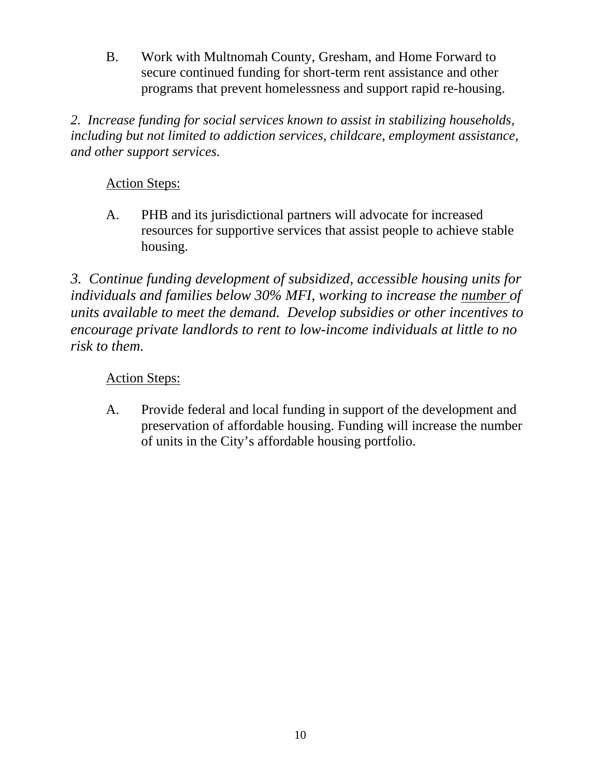B. Work with Multnomah County, Gresham, and Home Forward to secure continued funding for short-term rent assistance and other programs that prevent homelessness and support rapid re-housing.

*2. Increase funding for social services known to assist in stabilizing households, including but not limited to addiction services, childcare, employment assistance, and other support services.* 

## Action Steps:

A. PHB and its jurisdictional partners will advocate for increased resources for supportive services that assist people to achieve stable housing.

*3. Continue funding development of subsidized, accessible housing units for individuals and families below 30% MFI, working to increase the number of units available to meet the demand. Develop subsidies or other incentives to encourage private landlords to rent to low-income individuals at little to no risk to them.* 

### Action Steps:

A. Provide federal and local funding in support of the development and preservation of affordable housing. Funding will increase the number of units in the City's affordable housing portfolio.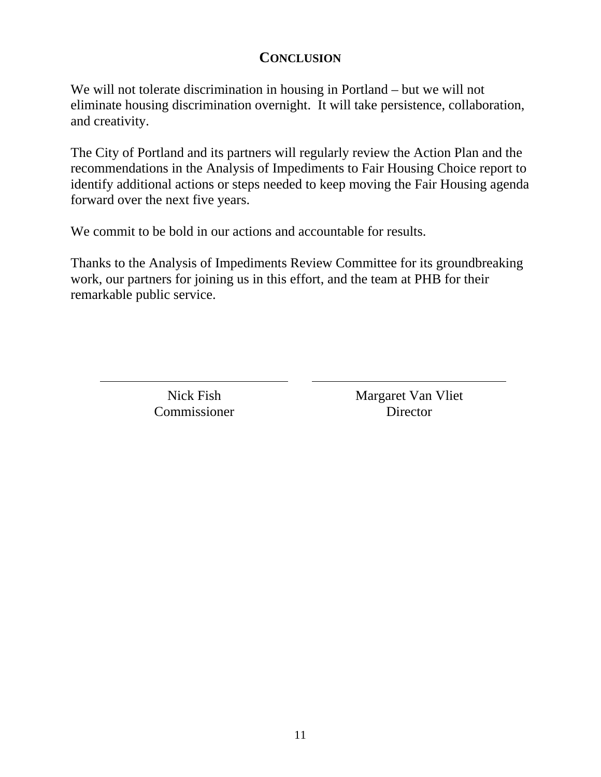### **CONCLUSION**

We will not tolerate discrimination in housing in Portland – but we will not eliminate housing discrimination overnight. It will take persistence, collaboration, and creativity.

The City of Portland and its partners will regularly review the Action Plan and the recommendations in the Analysis of Impediments to Fair Housing Choice report to identify additional actions or steps needed to keep moving the Fair Housing agenda forward over the next five years.

We commit to be bold in our actions and accountable for results.

Thanks to the Analysis of Impediments Review Committee for its groundbreaking work, our partners for joining us in this effort, and the team at PHB for their remarkable public service.

> Nick Fish **Commissioner**

Margaret Van Vliet Director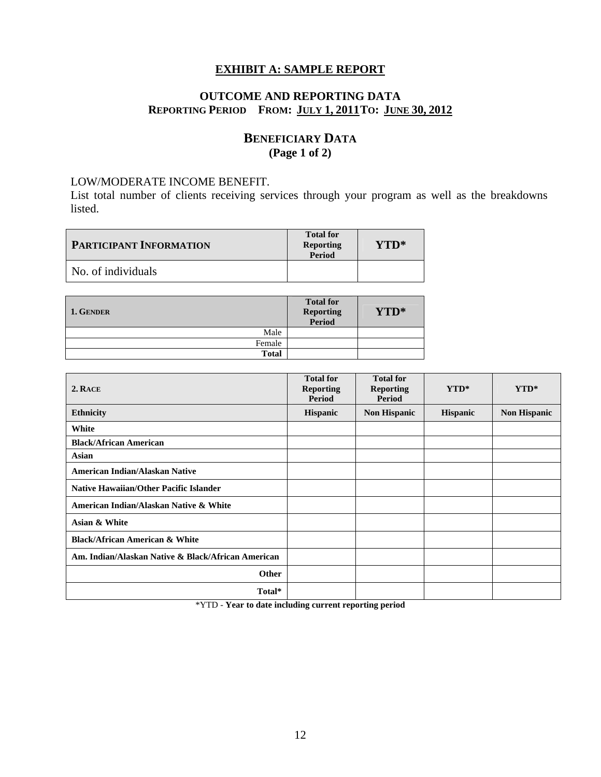#### **EXHIBIT A: SAMPLE REPORT**

#### **OUTCOME AND REPORTING DATA REPORTING PERIOD FROM: JULY 1, 2011 TO: JUNE 30, 2012**

#### **BENEFICIARY DATA (Page 1 of 2)**

#### LOW/MODERATE INCOME BENEFIT.

List total number of clients receiving services through your program as well as the breakdowns listed.

| <b>PARTICIPANT INFORMATION</b> | <b>Total for</b><br><b>Reporting</b><br>Period | YTD* |
|--------------------------------|------------------------------------------------|------|
| No. of individuals             |                                                |      |

| 1. GENDER    | <b>Total for</b><br><b>Reporting<br/>Period</b> | YTD* |
|--------------|-------------------------------------------------|------|
| Male         |                                                 |      |
| Female       |                                                 |      |
| <b>Total</b> |                                                 |      |

| 2. RACE                                            | <b>Total for</b><br><b>Reporting</b><br><b>Period</b> | <b>Total for</b><br><b>Reporting</b><br><b>Period</b> | $YTD^*$         | YTD*                |
|----------------------------------------------------|-------------------------------------------------------|-------------------------------------------------------|-----------------|---------------------|
| <b>Ethnicity</b>                                   | <b>Hispanic</b>                                       | <b>Non Hispanic</b>                                   | <b>Hispanic</b> | <b>Non Hispanic</b> |
| White                                              |                                                       |                                                       |                 |                     |
| <b>Black/African American</b>                      |                                                       |                                                       |                 |                     |
| Asian                                              |                                                       |                                                       |                 |                     |
| <b>American Indian/Alaskan Native</b>              |                                                       |                                                       |                 |                     |
| Native Hawaiian/Other Pacific Islander             |                                                       |                                                       |                 |                     |
| American Indian/Alaskan Native & White             |                                                       |                                                       |                 |                     |
| Asian & White                                      |                                                       |                                                       |                 |                     |
| <b>Black/African American &amp; White</b>          |                                                       |                                                       |                 |                     |
| Am. Indian/Alaskan Native & Black/African American |                                                       |                                                       |                 |                     |
| Other                                              |                                                       |                                                       |                 |                     |
| Total*                                             |                                                       |                                                       |                 |                     |

\*YTD - **Year to date including current reporting period**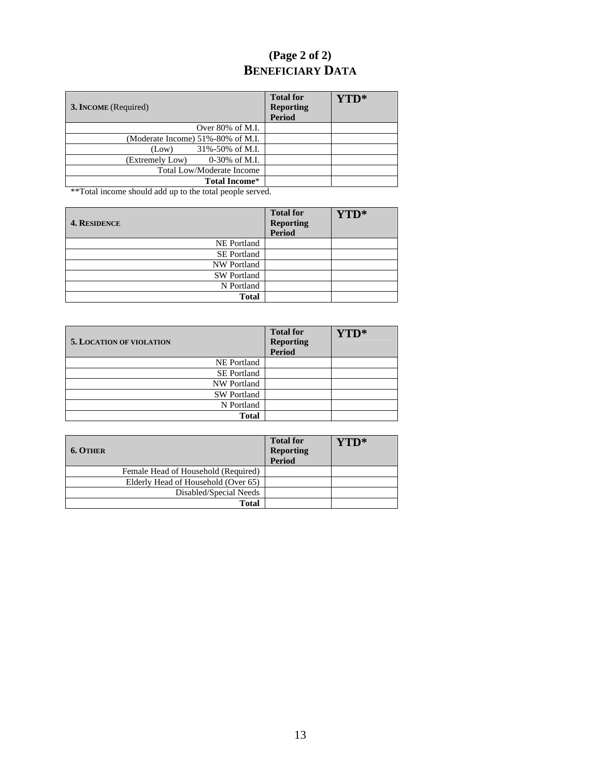## **(Page 2 of 2) BENEFICIARY DATA**

| 3. INCOME (Required)                        | <b>Total for</b><br><b>Reporting</b><br><b>Period</b> | YTD* |
|---------------------------------------------|-------------------------------------------------------|------|
| Over $80\%$ of M.I.                         |                                                       |      |
| (Moderate Income) 51%-80% of M.I.           |                                                       |      |
| 31%-50% of M.I.<br>(Low)                    |                                                       |      |
| $0-30\% \text{ of M.I.}$<br>(Extremely Low) |                                                       |      |
| Total Low/Moderate Income                   |                                                       |      |
| <b>Total Income*</b>                        |                                                       |      |

\*\*Total income should add up to the total people served.

| <b>4. RESIDENCE</b> | <b>Total for</b><br><b>Reporting</b><br>Period | YTD* |
|---------------------|------------------------------------------------|------|
| <b>NE</b> Portland  |                                                |      |
| <b>SE Portland</b>  |                                                |      |
| <b>NW Portland</b>  |                                                |      |
| <b>SW Portland</b>  |                                                |      |
| N Portland          |                                                |      |
| <b>Total</b>        |                                                |      |

| <b>5. LOCATION OF VIOLATION</b> | <b>Total for</b><br><b>Reporting</b><br><b>Period</b> | YTD* |
|---------------------------------|-------------------------------------------------------|------|
| <b>NE</b> Portland              |                                                       |      |
| <b>SE Portland</b>              |                                                       |      |
| <b>NW Portland</b>              |                                                       |      |
| <b>SW Portland</b>              |                                                       |      |
| N Portland                      |                                                       |      |
| <b>Total</b>                    |                                                       |      |

| <b>6. OTHER</b>                     | <b>Total for</b><br><b>Reporting</b><br>Period | $\mathbf{Y} \mathbf{P}^*$ |
|-------------------------------------|------------------------------------------------|---------------------------|
| Female Head of Household (Required) |                                                |                           |
| Elderly Head of Household (Over 65) |                                                |                           |
| Disabled/Special Needs              |                                                |                           |
| <b>Total</b>                        |                                                |                           |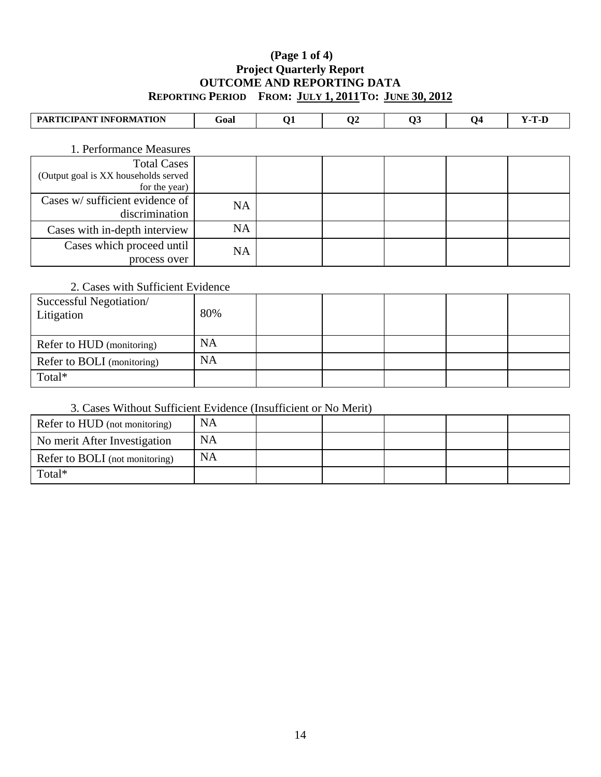#### **(Page 1 of 4) Project Quarterly Report OUTCOME AND REPORTING DATA REPORTING PERIOD FROM: JULY 1, 2011 TO: JUNE 30, 2012**

| PARTICIPANT INFORMATION                               | Goal      | Q1 | $\bf Q2$ | Q3 | Q <sub>4</sub> | $Y-T-D$ |
|-------------------------------------------------------|-----------|----|----------|----|----------------|---------|
| 1. Performance Measures                               |           |    |          |    |                |         |
| <b>Total Cases</b>                                    |           |    |          |    |                |         |
| (Output goal is XX households served<br>for the year) |           |    |          |    |                |         |
| Cases w/ sufficient evidence of<br>discrimination     | <b>NA</b> |    |          |    |                |         |
| Cases with in-depth interview                         | <b>NA</b> |    |          |    |                |         |
| Cases which proceed until<br>process over             | <b>NA</b> |    |          |    |                |         |

#### 2. Cases with Sufficient Evidence

| Successful Negotiation/<br>Litigation | 80%       |  |  |  |
|---------------------------------------|-----------|--|--|--|
| Refer to HUD (monitoring)             | <b>NA</b> |  |  |  |
| Refer to BOLI (monitoring)            | <b>NA</b> |  |  |  |
| Total*                                |           |  |  |  |

#### 3. Cases Without Sufficient Evidence (Insufficient or No Merit)

| Refer to HUD (not monitoring)  | <b>NA</b> |  |  |  |
|--------------------------------|-----------|--|--|--|
| No merit After Investigation   | <b>NA</b> |  |  |  |
| Refer to BOLI (not monitoring) | <b>NA</b> |  |  |  |
| Total*                         |           |  |  |  |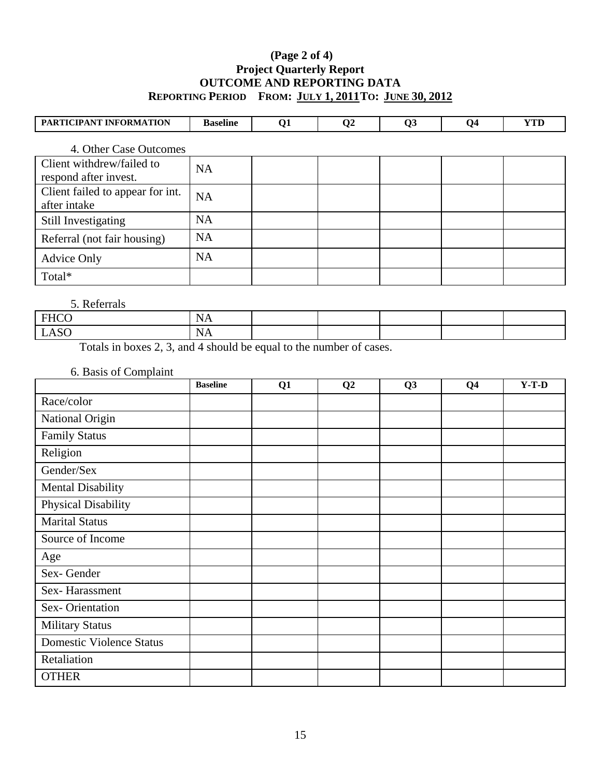#### **(Page 2 of 4) Project Quarterly Report OUTCOME AND REPORTING DATA REPORTING PERIOD FROM: JULY 1, 2011 TO: JUNE 30, 2012**

| PARTICIPANT INFORMATION                            | <b>Baseline</b> | Q1 | $\bf Q2$ | Q <sub>3</sub> | Q4 | <b>YTD</b> |
|----------------------------------------------------|-----------------|----|----------|----------------|----|------------|
| 4. Other Case Outcomes                             |                 |    |          |                |    |            |
| Client withdrew/failed to<br>respond after invest. | <b>NA</b>       |    |          |                |    |            |
| Client failed to appear for int.<br>after intake   | <b>NA</b>       |    |          |                |    |            |
| Still Investigating                                | <b>NA</b>       |    |          |                |    |            |
| Referral (not fair housing)                        | <b>NA</b>       |    |          |                |    |            |
| <b>Advice Only</b>                                 | <b>NA</b>       |    |          |                |    |            |
| Total*                                             |                 |    |          |                |    |            |

#### 5. Referrals

| FHCO<br>.     | <b>.</b><br>11 T |  |  |  |
|---------------|------------------|--|--|--|
| <b>LASC</b>   | <b>.</b>         |  |  |  |
| $\sim$ $\sim$ | .                |  |  |  |

Totals in boxes 2, 3, and 4 should be equal to the number of cases.

#### 6. Basis of Complaint

|                                 | <b>Baseline</b> | Q1 | Q2 | Q <sub>3</sub> | Q <sub>4</sub> | $Y-T-D$ |
|---------------------------------|-----------------|----|----|----------------|----------------|---------|
| Race/color                      |                 |    |    |                |                |         |
| National Origin                 |                 |    |    |                |                |         |
| <b>Family Status</b>            |                 |    |    |                |                |         |
| Religion                        |                 |    |    |                |                |         |
| Gender/Sex                      |                 |    |    |                |                |         |
| <b>Mental Disability</b>        |                 |    |    |                |                |         |
| Physical Disability             |                 |    |    |                |                |         |
| <b>Marital Status</b>           |                 |    |    |                |                |         |
| Source of Income                |                 |    |    |                |                |         |
| Age                             |                 |    |    |                |                |         |
| Sex-Gender                      |                 |    |    |                |                |         |
| Sex-Harassment                  |                 |    |    |                |                |         |
| Sex-Orientation                 |                 |    |    |                |                |         |
| <b>Military Status</b>          |                 |    |    |                |                |         |
| <b>Domestic Violence Status</b> |                 |    |    |                |                |         |
| Retaliation                     |                 |    |    |                |                |         |
| <b>OTHER</b>                    |                 |    |    |                |                |         |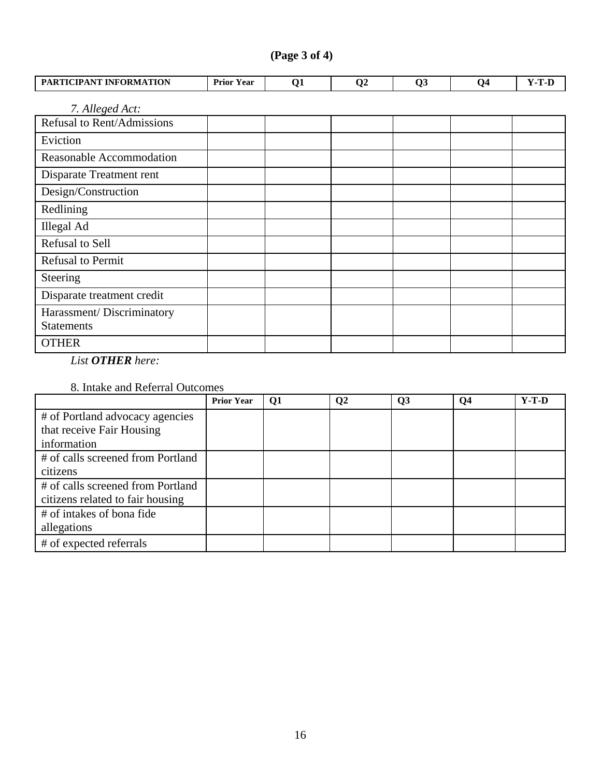| PARTICIPANT INFORMATION                        | <b>Prior Year</b> | Q <sub>1</sub> | Q <sub>2</sub> | Q <sub>3</sub> | Q <sub>4</sub> | $Y-T-D$ |  |  |  |  |  |
|------------------------------------------------|-------------------|----------------|----------------|----------------|----------------|---------|--|--|--|--|--|
| 7. Alleged Act:                                |                   |                |                |                |                |         |  |  |  |  |  |
| Refusal to Rent/Admissions                     |                   |                |                |                |                |         |  |  |  |  |  |
| Eviction                                       |                   |                |                |                |                |         |  |  |  |  |  |
| Reasonable Accommodation                       |                   |                |                |                |                |         |  |  |  |  |  |
| Disparate Treatment rent                       |                   |                |                |                |                |         |  |  |  |  |  |
| Design/Construction                            |                   |                |                |                |                |         |  |  |  |  |  |
| Redlining                                      |                   |                |                |                |                |         |  |  |  |  |  |
| <b>Illegal Ad</b>                              |                   |                |                |                |                |         |  |  |  |  |  |
| Refusal to Sell                                |                   |                |                |                |                |         |  |  |  |  |  |
| <b>Refusal to Permit</b>                       |                   |                |                |                |                |         |  |  |  |  |  |
| Steering                                       |                   |                |                |                |                |         |  |  |  |  |  |
| Disparate treatment credit                     |                   |                |                |                |                |         |  |  |  |  |  |
| Harassment/Discriminatory<br><b>Statements</b> |                   |                |                |                |                |         |  |  |  |  |  |

 **(Page 3 of 4)** 

*List OTHER here:* 

**OTHER** 

#### 8. Intake and Referral Outcomes

|                                                                       | <b>Prior Year</b> | Q <sub>1</sub> | Q <sub>2</sub> | Q <sub>3</sub> | Q <sub>4</sub> | $Y-T-D$ |
|-----------------------------------------------------------------------|-------------------|----------------|----------------|----------------|----------------|---------|
| # of Portland advocacy agencies                                       |                   |                |                |                |                |         |
| that receive Fair Housing                                             |                   |                |                |                |                |         |
| information                                                           |                   |                |                |                |                |         |
| # of calls screened from Portland                                     |                   |                |                |                |                |         |
| citizens                                                              |                   |                |                |                |                |         |
| # of calls screened from Portland<br>citizens related to fair housing |                   |                |                |                |                |         |
| # of intakes of bona fide                                             |                   |                |                |                |                |         |
| allegations                                                           |                   |                |                |                |                |         |
| # of expected referrals                                               |                   |                |                |                |                |         |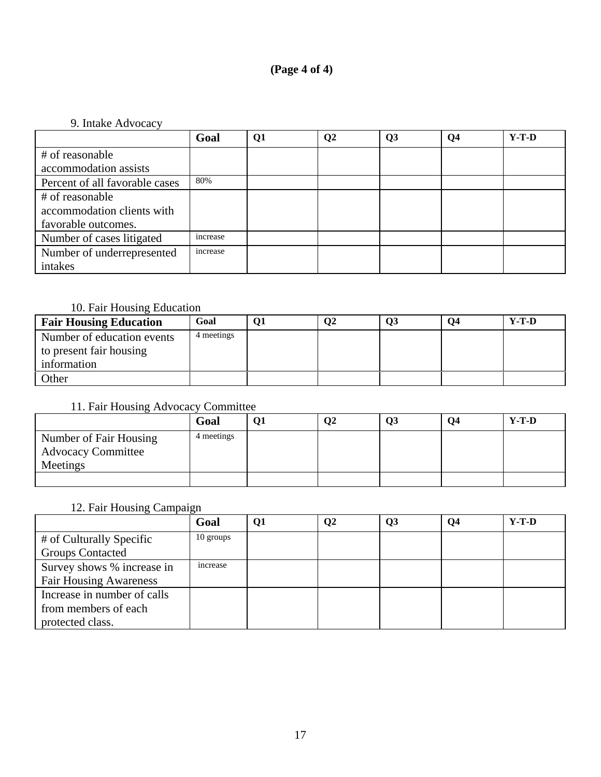#### **(Page 4 of 4)**

#### 9. Intake Advocacy

|                                | Goal     | Q1 | $\bf Q2$ | Q3 | Q <sub>4</sub> | $Y-T-D$ |
|--------------------------------|----------|----|----------|----|----------------|---------|
| # of reasonable                |          |    |          |    |                |         |
| accommodation assists          |          |    |          |    |                |         |
| Percent of all favorable cases | 80%      |    |          |    |                |         |
| # of reasonable                |          |    |          |    |                |         |
| accommodation clients with     |          |    |          |    |                |         |
| favorable outcomes.            |          |    |          |    |                |         |
| Number of cases litigated      | increase |    |          |    |                |         |
| Number of underrepresented     | increase |    |          |    |                |         |
| intakes                        |          |    |          |    |                |         |

### 10. Fair Housing Education

| <b>Fair Housing Education</b> | Goal       | O2 | Q3 | 04 | $Y-T-D$ |
|-------------------------------|------------|----|----|----|---------|
| Number of education events    | 4 meetings |    |    |    |         |
| to present fair housing       |            |    |    |    |         |
| information                   |            |    |    |    |         |
| <b>Other</b>                  |            |    |    |    |         |

### 11. Fair Housing Advocacy Committee

|                           | Goal       | Q <sub>2</sub> | Q <sub>3</sub> | О4 | $Y-T-D$ |
|---------------------------|------------|----------------|----------------|----|---------|
| Number of Fair Housing    | 4 meetings |                |                |    |         |
| <b>Advocacy Committee</b> |            |                |                |    |         |
| Meetings                  |            |                |                |    |         |
|                           |            |                |                |    |         |

#### 12. Fair Housing Campaign

|                               | Goal           | Q1 | $\mathbf{Q}$ | Q <sub>3</sub> | Q4 | $Y-T-D$ |
|-------------------------------|----------------|----|--------------|----------------|----|---------|
| # of Culturally Specific      | 10 groups      |    |              |                |    |         |
| <b>Groups Contacted</b>       |                |    |              |                |    |         |
| Survey shows % increase in    | <i>ncrease</i> |    |              |                |    |         |
| <b>Fair Housing Awareness</b> |                |    |              |                |    |         |
| Increase in number of calls   |                |    |              |                |    |         |
| from members of each          |                |    |              |                |    |         |
| protected class.              |                |    |              |                |    |         |